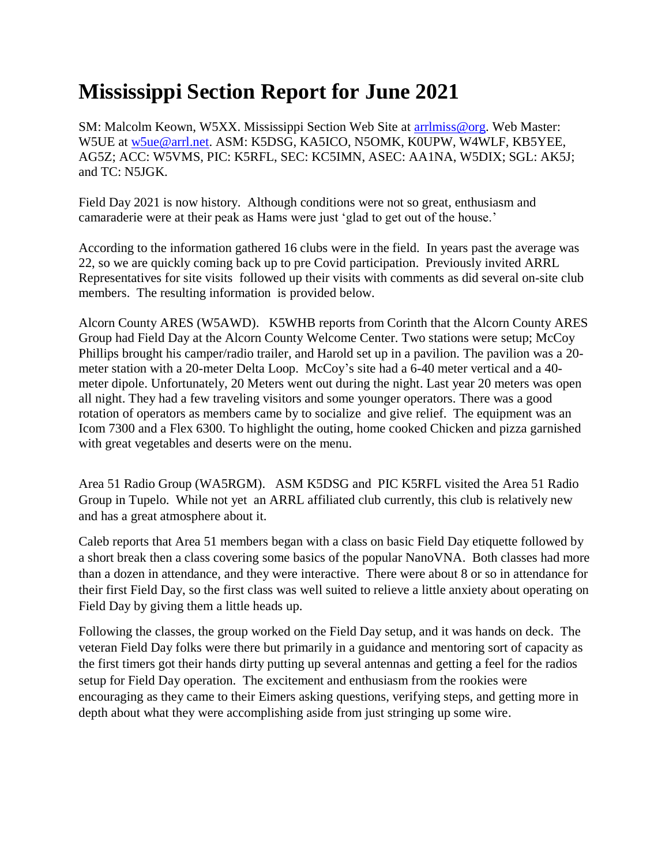## **Mississippi Section Report for June 2021**

SM: Malcolm Keown, W5XX. Mississippi Section Web Site at [arrlmiss@org.](mailto:arrlmiss@org) Web Master: W5UE at [w5ue@arrl.net.](mailto:w5ue@arrl.net) ASM: K5DSG, KA5ICO, N5OMK, K0UPW, W4WLF, KB5YEE, AG5Z; ACC: W5VMS, PIC: K5RFL, SEC: KC5IMN, ASEC: AA1NA, W5DIX; SGL: AK5J; and TC: N5JGK.

Field Day 2021 is now history. Although conditions were not so great, enthusiasm and camaraderie were at their peak as Hams were just 'glad to get out of the house.'

According to the information gathered 16 clubs were in the field. In years past the average was 22, so we are quickly coming back up to pre Covid participation. Previously invited ARRL Representatives for site visits followed up their visits with comments as did several on-site club members. The resulting information is provided below.

Alcorn County ARES (W5AWD). K5WHB reports from Corinth that the Alcorn County ARES Group had Field Day at the Alcorn County Welcome Center. Two stations were setup; McCoy Phillips brought his camper/radio trailer, and Harold set up in a pavilion. The pavilion was a 20 meter station with a 20-meter Delta Loop. McCoy's site had a 6-40 meter vertical and a 40 meter dipole. Unfortunately, 20 Meters went out during the night. Last year 20 meters was open all night. They had a few traveling visitors and some younger operators. There was a good rotation of operators as members came by to socialize and give relief. The equipment was an Icom 7300 and a Flex 6300. To highlight the outing, home cooked Chicken and pizza garnished with great vegetables and deserts were on the menu.

Area 51 Radio Group (WA5RGM). ASM K5DSG and PIC K5RFL visited the Area 51 Radio Group in Tupelo. While not yet an ARRL affiliated club currently, this club is relatively new and has a great atmosphere about it.

Caleb reports that Area 51 members began with a class on basic Field Day etiquette followed by a short break then a class covering some basics of the popular NanoVNA. Both classes had more than a dozen in attendance, and they were interactive. There were about 8 or so in attendance for their first Field Day, so the first class was well suited to relieve a little anxiety about operating on Field Day by giving them a little heads up.

Following the classes, the group worked on the Field Day setup, and it was hands on deck. The veteran Field Day folks were there but primarily in a guidance and mentoring sort of capacity as the first timers got their hands dirty putting up several antennas and getting a feel for the radios setup for Field Day operation. The excitement and enthusiasm from the rookies were encouraging as they came to their Eimers asking questions, verifying steps, and getting more in depth about what they were accomplishing aside from just stringing up some wire.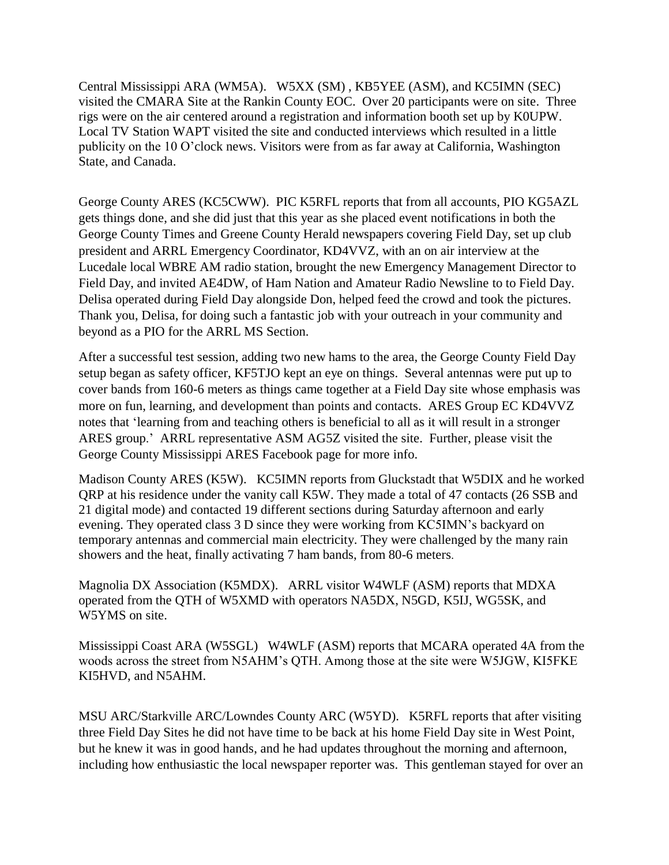Central Mississippi ARA (WM5A). W5XX (SM) , KB5YEE (ASM), and KC5IMN (SEC) visited the CMARA Site at the Rankin County EOC. Over 20 participants were on site. Three rigs were on the air centered around a registration and information booth set up by K0UPW. Local TV Station WAPT visited the site and conducted interviews which resulted in a little publicity on the 10 O'clock news. Visitors were from as far away at California, Washington State, and Canada.

George County ARES (KC5CWW). PIC K5RFL reports that from all accounts, PIO KG5AZL gets things done, and she did just that this year as she placed event notifications in both the George County Times and Greene County Herald newspapers covering Field Day, set up club president and ARRL Emergency Coordinator, KD4VVZ, with an on air interview at the Lucedale local WBRE AM radio station, brought the new Emergency Management Director to Field Day, and invited AE4DW, of Ham Nation and Amateur Radio Newsline to to Field Day. Delisa operated during Field Day alongside Don, helped feed the crowd and took the pictures. Thank you, Delisa, for doing such a fantastic job with your outreach in your community and beyond as a PIO for the ARRL MS Section.

After a successful test session, adding two new hams to the area, the George County Field Day setup began as safety officer, KF5TJO kept an eye on things. Several antennas were put up to cover bands from 160-6 meters as things came together at a Field Day site whose emphasis was more on fun, learning, and development than points and contacts. ARES Group EC KD4VVZ notes that 'learning from and teaching others is beneficial to all as it will result in a stronger ARES group.' ARRL representative ASM AG5Z visited the site. Further, please visit the George County Mississippi ARES Facebook page for more info.

Madison County ARES (K5W). KC5IMN reports from Gluckstadt that W5DIX and he worked QRP at his residence under the vanity call K5W. They made a total of 47 contacts (26 SSB and 21 digital mode) and contacted 19 different sections during Saturday afternoon and early evening. They operated class 3 D since they were working from KC5IMN's backyard on temporary antennas and commercial main electricity. They were challenged by the many rain showers and the heat, finally activating 7 ham bands, from 80-6 meters.

Magnolia DX Association (K5MDX). ARRL visitor W4WLF (ASM) reports that MDXA operated from the QTH of W5XMD with operators NA5DX, N5GD, K5IJ, WG5SK, and W5YMS on site.

Mississippi Coast ARA (W5SGL) W4WLF (ASM) reports that MCARA operated 4A from the woods across the street from N5AHM's QTH. Among those at the site were W5JGW, KI5FKE KI5HVD, and N5AHM.

MSU ARC/Starkville ARC/Lowndes County ARC (W5YD). K5RFL reports that after visiting three Field Day Sites he did not have time to be back at his home Field Day site in West Point, but he knew it was in good hands, and he had updates throughout the morning and afternoon, including how enthusiastic the local newspaper reporter was. This gentleman stayed for over an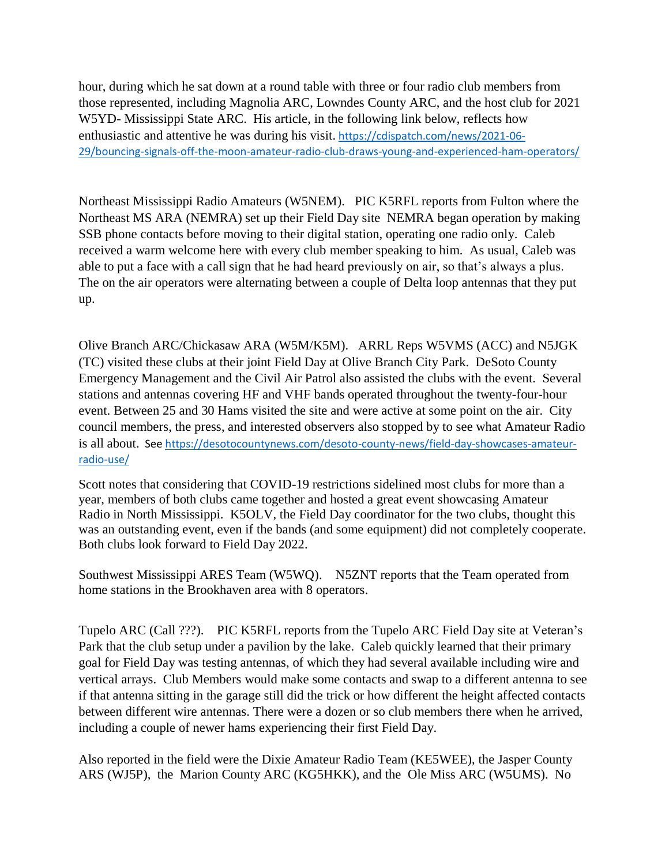hour, during which he sat down at a round table with three or four radio club members from those represented, including Magnolia ARC, Lowndes County ARC, and the host club for 2021 W5YD- Mississippi State ARC. His article, in the following link below, reflects how enthusiastic and attentive he was during his visit. [https://cdispatch.com/news/2021-06-](https://cdispatch.com/news/2021-06-29/bouncing-signals-off-the-moon-amateur-radio-club-draws-young-and-experienced-ham-operators/) [29/bouncing-signals-off-the-moon-amateur-radio-club-draws-young-and-experienced-ham-operators/](https://cdispatch.com/news/2021-06-29/bouncing-signals-off-the-moon-amateur-radio-club-draws-young-and-experienced-ham-operators/)

Northeast Mississippi Radio Amateurs (W5NEM). PIC K5RFL reports from Fulton where the Northeast MS ARA (NEMRA) set up their Field Day site NEMRA began operation by making SSB phone contacts before moving to their digital station, operating one radio only. Caleb received a warm welcome here with every club member speaking to him. As usual, Caleb was able to put a face with a call sign that he had heard previously on air, so that's always a plus. The on the air operators were alternating between a couple of Delta loop antennas that they put up.

Olive Branch ARC/Chickasaw ARA (W5M/K5M). ARRL Reps W5VMS (ACC) and N5JGK (TC) visited these clubs at their joint Field Day at Olive Branch City Park. DeSoto County Emergency Management and the Civil Air Patrol also assisted the clubs with the event. Several stations and antennas covering HF and VHF bands operated throughout the twenty-four-hour event. Between 25 and 30 Hams visited the site and were active at some point on the air. City council members, the press, and interested observers also stopped by to see what Amateur Radio is all about. See [https://desotocountynews.com/desoto-county-news/field-day-showcases-amateur](https://desotocountynews.com/desoto-county-news/field-day-showcases-amateur-radio-use/)[radio-use/](https://desotocountynews.com/desoto-county-news/field-day-showcases-amateur-radio-use/)

Scott notes that considering that COVID-19 restrictions sidelined most clubs for more than a year, members of both clubs came together and hosted a great event showcasing Amateur Radio in North Mississippi. K5OLV, the Field Day coordinator for the two clubs, thought this was an outstanding event, even if the bands (and some equipment) did not completely cooperate. Both clubs look forward to Field Day 2022.

Southwest Mississippi ARES Team (W5WQ). N5ZNT reports that the Team operated from home stations in the Brookhaven area with 8 operators.

Tupelo ARC (Call ???). PIC K5RFL reports from the Tupelo ARC Field Day site at Veteran's Park that the club setup under a pavilion by the lake. Caleb quickly learned that their primary goal for Field Day was testing antennas, of which they had several available including wire and vertical arrays. Club Members would make some contacts and swap to a different antenna to see if that antenna sitting in the garage still did the trick or how different the height affected contacts between different wire antennas. There were a dozen or so club members there when he arrived, including a couple of newer hams experiencing their first Field Day.

Also reported in the field were the Dixie Amateur Radio Team (KE5WEE), the Jasper County ARS (WJ5P), the Marion County ARC (KG5HKK), and the Ole Miss ARC (W5UMS). No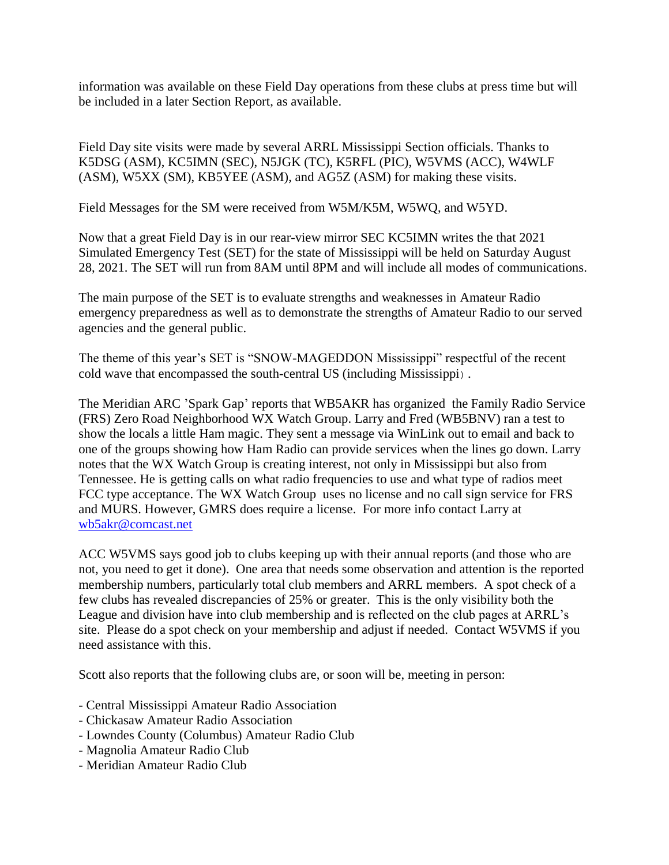information was available on these Field Day operations from these clubs at press time but will be included in a later Section Report, as available.

Field Day site visits were made by several ARRL Mississippi Section officials. Thanks to K5DSG (ASM), KC5IMN (SEC), N5JGK (TC), K5RFL (PIC), W5VMS (ACC), W4WLF (ASM), W5XX (SM), KB5YEE (ASM), and AG5Z (ASM) for making these visits.

Field Messages for the SM were received from W5M/K5M, W5WQ, and W5YD.

Now that a great Field Day is in our rear-view mirror SEC KC5IMN writes the that 2021 Simulated Emergency Test (SET) for the state of Mississippi will be held on Saturday August 28, 2021. The SET will run from 8AM until 8PM and will include all modes of communications.

The main purpose of the SET is to evaluate strengths and weaknesses in Amateur Radio emergency preparedness as well as to demonstrate the strengths of Amateur Radio to our served agencies and the general public.

The theme of this year's SET is "SNOW-MAGEDDON Mississippi" respectful of the recent cold wave that encompassed the south-central US (including Mississippi).

The Meridian ARC 'Spark Gap' reports that WB5AKR has organized the Family Radio Service (FRS) Zero Road Neighborhood WX Watch Group. Larry and Fred (WB5BNV) ran a test to show the locals a little Ham magic. They sent a message via WinLink out to email and back to one of the groups showing how Ham Radio can provide services when the lines go down. Larry notes that the WX Watch Group is creating interest, not only in Mississippi but also from Tennessee. He is getting calls on what radio frequencies to use and what type of radios meet FCC type acceptance. The WX Watch Group uses no license and no call sign service for FRS and MURS. However, GMRS does require a license. For more info contact Larry at [wb5akr@comcast.net](https://webmail.cablelynx.com/webmail/src/compose.php?send_to=wb5akr%40comcast.net)

ACC W5VMS says good job to clubs keeping up with their annual reports (and those who are not, you need to get it done). One area that needs some observation and attention is the reported membership numbers, particularly total club members and ARRL members. A spot check of a few clubs has revealed discrepancies of 25% or greater. This is the only visibility both the League and division have into club membership and is reflected on the club pages at ARRL's site. Please do a spot check on your membership and adjust if needed. Contact W5VMS if you need assistance with this.

Scott also reports that the following clubs are, or soon will be, meeting in person:

- Central Mississippi Amateur Radio Association
- Chickasaw Amateur Radio Association
- Lowndes County (Columbus) Amateur Radio Club
- Magnolia Amateur Radio Club
- Meridian Amateur Radio Club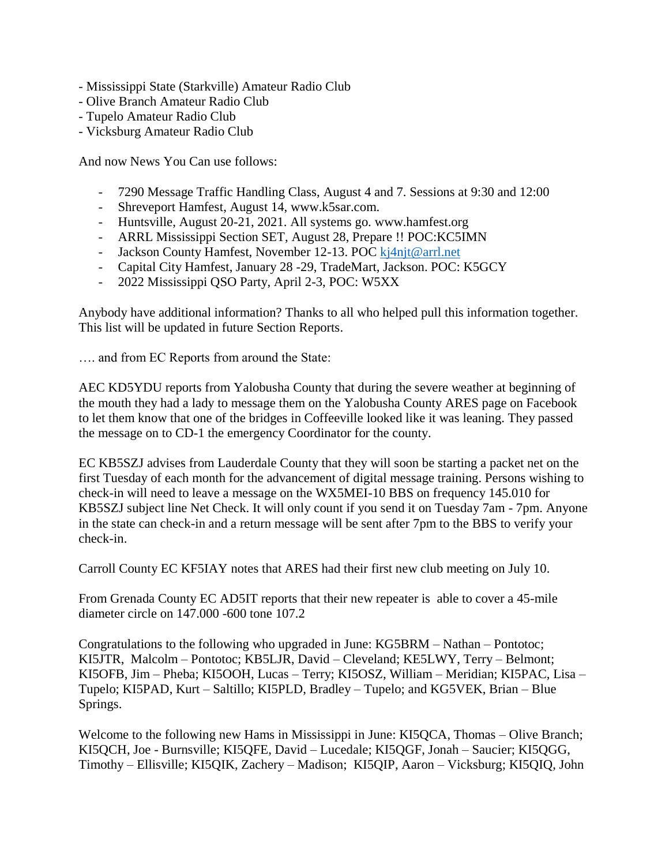- Mississippi State (Starkville) Amateur Radio Club
- Olive Branch Amateur Radio Club
- Tupelo Amateur Radio Club
- Vicksburg Amateur Radio Club

And now News You Can use follows:

- 7290 Message Traffic Handling Class, August 4 and 7. Sessions at 9:30 and 12:00
- Shreveport Hamfest, August 14, www.k5sar.com.
- Huntsville, August 20-21, 2021. All systems go. www.hamfest.org
- ARRL Mississippi Section SET, August 28, Prepare !! POC:KC5IMN
- Jackson County Hamfest, November 12-13. POC [kj4njt@arrl.net](mailto:kj4njt@arrl.net)
- Capital City Hamfest, January 28 -29, TradeMart, Jackson. POC: K5GCY
- 2022 Mississippi QSO Party, April 2-3, POC: W5XX

Anybody have additional information? Thanks to all who helped pull this information together. This list will be updated in future Section Reports.

…. and from EC Reports from around the State:

AEC KD5YDU reports from Yalobusha County that during the severe weather at beginning of the mouth they had a lady to message them on the Yalobusha County ARES page on Facebook to let them know that one of the bridges in Coffeeville looked like it was leaning. They passed the message on to CD-1 the emergency Coordinator for the county.

EC KB5SZJ advises from Lauderdale County that they will soon be starting a packet net on the first Tuesday of each month for the advancement of digital message training. Persons wishing to check-in will need to leave a message on the WX5MEI-10 BBS on frequency 145.010 for KB5SZJ subject line Net Check. It will only count if you send it on Tuesday 7am - 7pm. Anyone in the state can check-in and a return message will be sent after 7pm to the BBS to verify your check-in.

Carroll County EC KF5IAY notes that ARES had their first new club meeting on July 10.

From Grenada County EC AD5IT reports that their new repeater is able to cover a 45-mile diameter circle on 147.000 -600 tone 107.2

Congratulations to the following who upgraded in June: KG5BRM – Nathan – Pontotoc; KI5JTR, Malcolm – Pontotoc; KB5LJR, David – Cleveland; KE5LWY, Terry – Belmont; KI5OFB, Jim – Pheba; KI5OOH, Lucas – Terry; KI5OSZ, William – Meridian; KI5PAC, Lisa – Tupelo; KI5PAD, Kurt – Saltillo; KI5PLD, Bradley – Tupelo; and KG5VEK, Brian – Blue Springs.

Welcome to the following new Hams in Mississippi in June: KI5QCA, Thomas – Olive Branch; KI5QCH, Joe - Burnsville; KI5QFE, David – Lucedale; KI5QGF, Jonah – Saucier; KI5QGG, Timothy – Ellisville; KI5QIK, Zachery – Madison; KI5QIP, Aaron – Vicksburg; KI5QIQ, John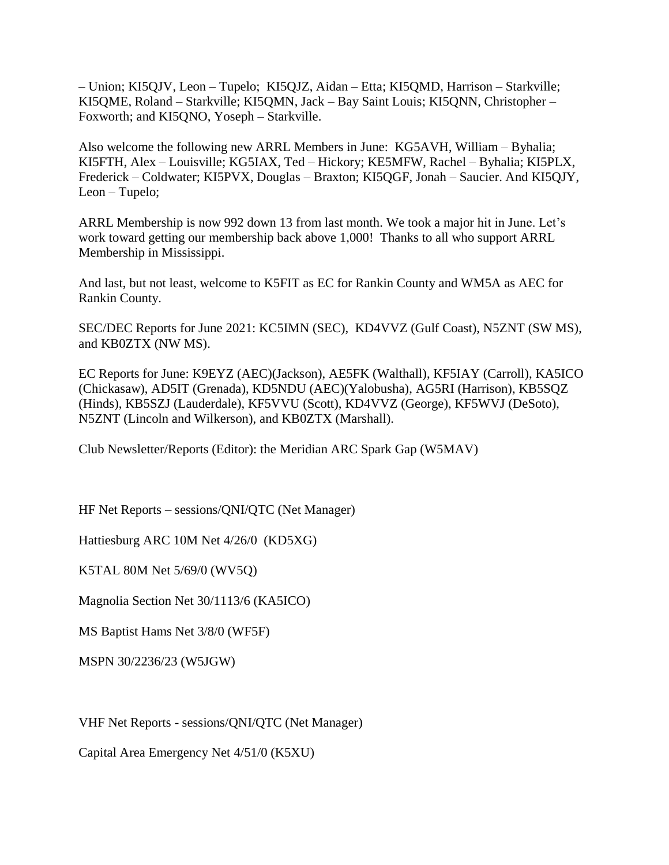– Union; KI5QJV, Leon – Tupelo; KI5QJZ, Aidan – Etta; KI5QMD, Harrison – Starkville; KI5QME, Roland – Starkville; KI5QMN, Jack – Bay Saint Louis; KI5QNN, Christopher – Foxworth; and KI5QNO, Yoseph – Starkville.

Also welcome the following new ARRL Members in June: KG5AVH, William – Byhalia; KI5FTH, Alex – Louisville; KG5IAX, Ted – Hickory; KE5MFW, Rachel – Byhalia; KI5PLX, Frederick – Coldwater; KI5PVX, Douglas – Braxton; KI5QGF, Jonah – Saucier. And KI5QJY, Leon – Tupelo;

ARRL Membership is now 992 down 13 from last month. We took a major hit in June. Let's work toward getting our membership back above 1,000! Thanks to all who support ARRL Membership in Mississippi.

And last, but not least, welcome to K5FIT as EC for Rankin County and WM5A as AEC for Rankin County.

SEC/DEC Reports for June 2021: KC5IMN (SEC), KD4VVZ (Gulf Coast), N5ZNT (SW MS), and KB0ZTX (NW MS).

EC Reports for June: K9EYZ (AEC)(Jackson), AE5FK (Walthall), KF5IAY (Carroll), KA5ICO (Chickasaw), AD5IT (Grenada), KD5NDU (AEC)(Yalobusha), AG5RI (Harrison), KB5SQZ (Hinds), KB5SZJ (Lauderdale), KF5VVU (Scott), KD4VVZ (George), KF5WVJ (DeSoto), N5ZNT (Lincoln and Wilkerson), and KB0ZTX (Marshall).

Club Newsletter/Reports (Editor): the Meridian ARC Spark Gap (W5MAV)

HF Net Reports – sessions/QNI/QTC (Net Manager)

Hattiesburg ARC 10M Net 4/26/0 (KD5XG)

K5TAL 80M Net 5/69/0 (WV5Q)

Magnolia Section Net 30/1113/6 (KA5ICO)

MS Baptist Hams Net 3/8/0 (WF5F)

MSPN 30/2236/23 (W5JGW)

VHF Net Reports - sessions/QNI/QTC (Net Manager)

Capital Area Emergency Net 4/51/0 (K5XU)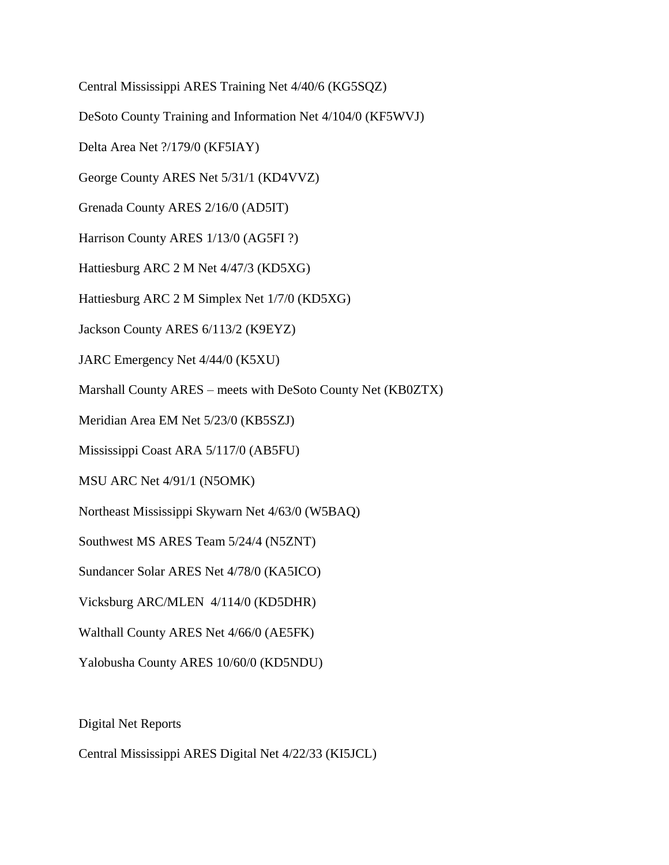Central Mississippi ARES Training Net 4/40/6 (KG5SQZ)

DeSoto County Training and Information Net 4/104/0 (KF5WVJ)

Delta Area Net ?/179/0 (KF5IAY)

George County ARES Net 5/31/1 (KD4VVZ)

Grenada County ARES 2/16/0 (AD5IT)

Harrison County ARES 1/13/0 (AG5FI ?)

Hattiesburg ARC 2 M Net 4/47/3 (KD5XG)

Hattiesburg ARC 2 M Simplex Net 1/7/0 (KD5XG)

Jackson County ARES 6/113/2 (K9EYZ)

JARC Emergency Net 4/44/0 (K5XU)

Marshall County ARES – meets with DeSoto County Net (KB0ZTX)

Meridian Area EM Net 5/23/0 (KB5SZJ)

Mississippi Coast ARA 5/117/0 (AB5FU)

MSU ARC Net 4/91/1 (N5OMK)

Northeast Mississippi Skywarn Net 4/63/0 (W5BAQ)

Southwest MS ARES Team 5/24/4 (N5ZNT)

Sundancer Solar ARES Net 4/78/0 (KA5ICO)

Vicksburg ARC/MLEN 4/114/0 (KD5DHR)

Walthall County ARES Net 4/66/0 (AE5FK)

Yalobusha County ARES 10/60/0 (KD5NDU)

Digital Net Reports

Central Mississippi ARES Digital Net 4/22/33 (KI5JCL)